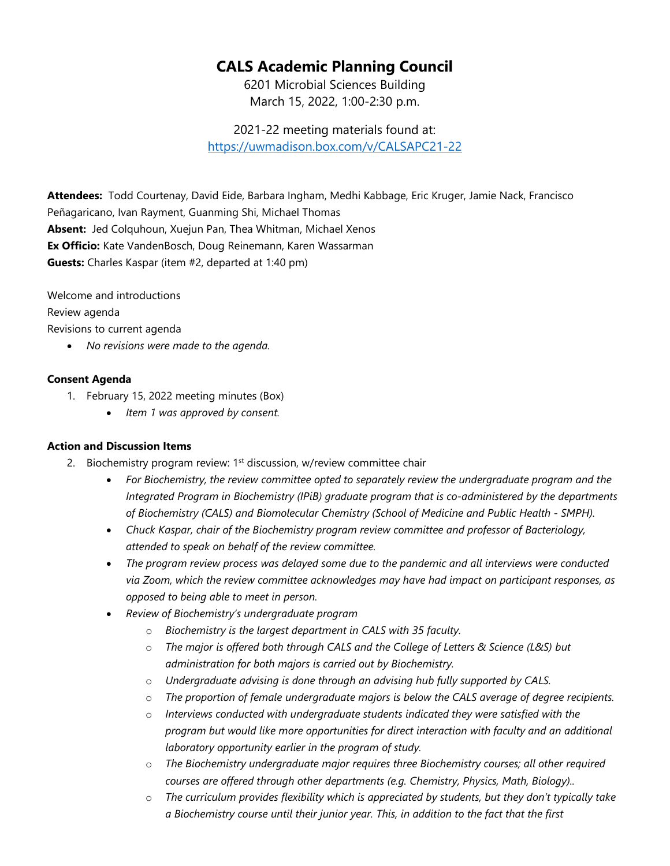## **CALS Academic Planning Council**

6201 Microbial Sciences Building March 15, 2022, 1:00-2:30 p.m.

2021-22 meeting materials found at: <https://uwmadison.box.com/v/CALSAPC21-22>

**Attendees:** Todd Courtenay, David Eide, Barbara Ingham, Medhi Kabbage, Eric Kruger, Jamie Nack, Francisco Peñagaricano, Ivan Rayment, Guanming Shi, Michael Thomas **Absent:** Jed Colquhoun, Xuejun Pan, Thea Whitman, Michael Xenos **Ex Officio:** Kate VandenBosch, Doug Reinemann, Karen Wassarman **Guests:** Charles Kaspar (item #2, departed at 1:40 pm)

Welcome and introductions

Review agenda

Revisions to current agenda

• *No revisions were made to the agenda.*

## **Consent Agenda**

- 1. February 15, 2022 meeting minutes (Box)
	- *Item 1 was approved by consent.*

## **Action and Discussion Items**

- 2. Biochemistry program review: 1<sup>st</sup> discussion, w/review committee chair
	- *For Biochemistry, the review committee opted to separately review the undergraduate program and the Integrated Program in Biochemistry (IPiB) graduate program that is co-administered by the departments of Biochemistry (CALS) and Biomolecular Chemistry (School of Medicine and Public Health - SMPH).*
	- *Chuck Kaspar, chair of the Biochemistry program review committee and professor of Bacteriology, attended to speak on behalf of the review committee.*
	- *The program review process was delayed some due to the pandemic and all interviews were conducted via Zoom, which the review committee acknowledges may have had impact on participant responses, as opposed to being able to meet in person.*
	- *Review of Biochemistry's undergraduate program* 
		- o *Biochemistry is the largest department in CALS with 35 faculty.*
		- o *The major is offered both through CALS and the College of Letters & Science (L&S) but administration for both majors is carried out by Biochemistry.*
		- o *Undergraduate advising is done through an advising hub fully supported by CALS.*
		- o *The proportion of female undergraduate majors is below the CALS average of degree recipients.*
		- o *Interviews conducted with undergraduate students indicated they were satisfied with the program but would like more opportunities for direct interaction with faculty and an additional laboratory opportunity earlier in the program of study.*
		- o *The Biochemistry undergraduate major requires three Biochemistry courses; all other required courses are offered through other departments (e.g. Chemistry, Physics, Math, Biology)..*
		- o *The curriculum provides flexibility which is appreciated by students, but they don't typically take a Biochemistry course until their junior year. This, in addition to the fact that the first*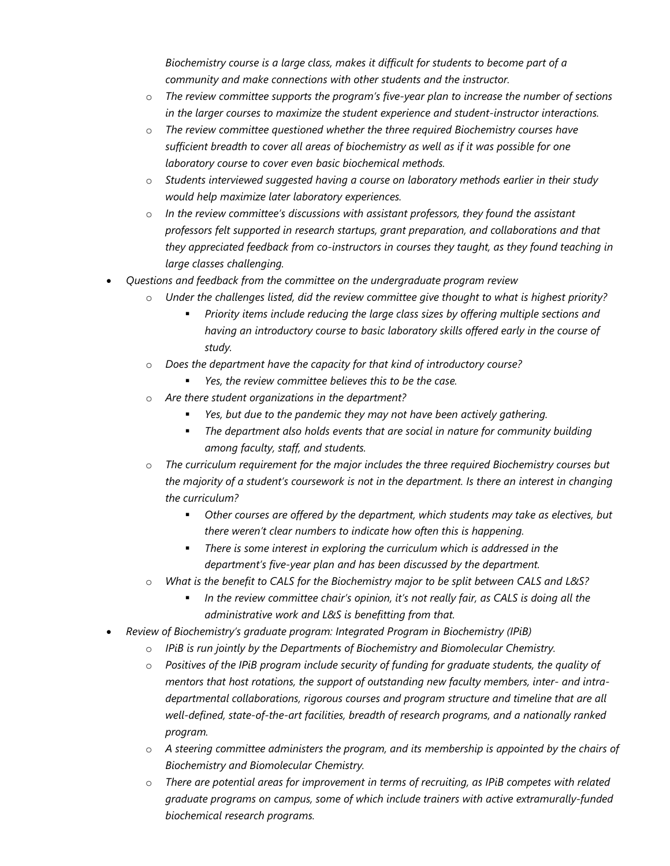*Biochemistry course is a large class, makes it difficult for students to become part of a community and make connections with other students and the instructor.*

- o *The review committee supports the program's five-year plan to increase the number of sections in the larger courses to maximize the student experience and student-instructor interactions.*
- o *The review committee questioned whether the three required Biochemistry courses have sufficient breadth to cover all areas of biochemistry as well as if it was possible for one laboratory course to cover even basic biochemical methods.*
- o *Students interviewed suggested having a course on laboratory methods earlier in their study would help maximize later laboratory experiences.*
- o *In the review committee's discussions with assistant professors, they found the assistant professors felt supported in research startups, grant preparation, and collaborations and that they appreciated feedback from co-instructors in courses they taught, as they found teaching in large classes challenging.*
- *Questions and feedback from the committee on the undergraduate program review*
	- Under the challenges listed, did the review committee give thought to what is highest priority?
		- *Priority items include reducing the large class sizes by offering multiple sections and having an introductory course to basic laboratory skills offered early in the course of study.*
	- o *Does the department have the capacity for that kind of introductory course?*
		- *Yes, the review committee believes this to be the case.*
	- Are there student organizations in the department?
		- *Yes, but due to the pandemic they may not have been actively gathering.*
		- *The department also holds events that are social in nature for community building among faculty, staff, and students.*
	- o *The curriculum requirement for the major includes the three required Biochemistry courses but the majority of a student's coursework is not in the department. Is there an interest in changing the curriculum?*
		- *Other courses are offered by the department, which students may take as electives, but there weren't clear numbers to indicate how often this is happening.*
		- *There is some interest in exploring the curriculum which is addressed in the department's five-year plan and has been discussed by the department.*
	- o *What is the benefit to CALS for the Biochemistry major to be split between CALS and L&S?*
		- *In the review committee chair's opinion, it's not really fair, as CALS is doing all the administrative work and L&S is benefitting from that.*
- *Review of Biochemistry's graduate program: Integrated Program in Biochemistry (IPiB)*
	- o *IPiB is run jointly by the Departments of Biochemistry and Biomolecular Chemistry.*
	- o *Positives of the IPiB program include security of funding for graduate students, the quality of mentors that host rotations, the support of outstanding new faculty members, inter- and intradepartmental collaborations, rigorous courses and program structure and timeline that are all well-defined, state-of-the-art facilities, breadth of research programs, and a nationally ranked program.*
	- o *A steering committee administers the program, and its membership is appointed by the chairs of Biochemistry and Biomolecular Chemistry.*
	- o *There are potential areas for improvement in terms of recruiting, as IPiB competes with related graduate programs on campus, some of which include trainers with active extramurally-funded biochemical research programs.*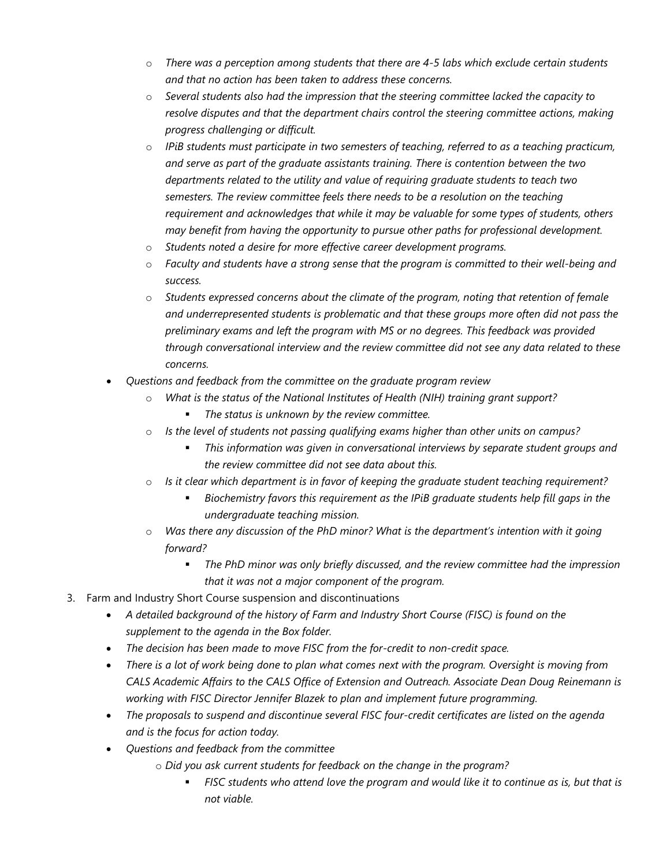- o *There was a perception among students that there are 4-5 labs which exclude certain students and that no action has been taken to address these concerns.*
- o *Several students also had the impression that the steering committee lacked the capacity to resolve disputes and that the department chairs control the steering committee actions, making progress challenging or difficult.*
- o *IPiB students must participate in two semesters of teaching, referred to as a teaching practicum, and serve as part of the graduate assistants training. There is contention between the two departments related to the utility and value of requiring graduate students to teach two semesters. The review committee feels there needs to be a resolution on the teaching requirement and acknowledges that while it may be valuable for some types of students, others may benefit from having the opportunity to pursue other paths for professional development.*
- o *Students noted a desire for more effective career development programs.*
- o *Faculty and students have a strong sense that the program is committed to their well-being and success.*
- o *Students expressed concerns about the climate of the program, noting that retention of female and underrepresented students is problematic and that these groups more often did not pass the preliminary exams and left the program with MS or no degrees. This feedback was provided through conversational interview and the review committee did not see any data related to these concerns.*
- *Questions and feedback from the committee on the graduate program review*
	- o *What is the status of the National Institutes of Health (NIH) training grant support?*
		- *The status is unknown by the review committee.*
	- o *Is the level of students not passing qualifying exams higher than other units on campus?*
		- *This information was given in conversational interviews by separate student groups and the review committee did not see data about this.*
	- o *Is it clear which department is in favor of keeping the graduate student teaching requirement?*
		- *Biochemistry favors this requirement as the IPiB graduate students help fill gaps in the undergraduate teaching mission.*
	- o *Was there any discussion of the PhD minor? What is the department's intention with it going forward?*
		- *The PhD minor was only briefly discussed, and the review committee had the impression that it was not a major component of the program.*
- 3. Farm and Industry Short Course suspension and discontinuations
	- *A detailed background of the history of Farm and Industry Short Course (FISC) is found on the supplement to the agenda in the Box folder.*
	- *The decision has been made to move FISC from the for-credit to non-credit space.*
	- *There is a lot of work being done to plan what comes next with the program. Oversight is moving from CALS Academic Affairs to the CALS Office of Extension and Outreach. Associate Dean Doug Reinemann is working with FISC Director Jennifer Blazek to plan and implement future programming.*
	- *The proposals to suspend and discontinue several FISC four-credit certificates are listed on the agenda and is the focus for action today.*
	- *Questions and feedback from the committee*
		- o *Did you ask current students for feedback on the change in the program?*
			- *FISC students who attend love the program and would like it to continue as is, but that is not viable.*